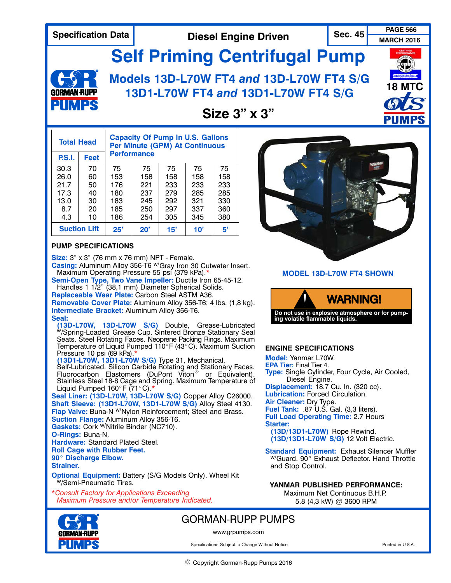# **Specification Data Sec. 45 PAGE 566 Diesel Engine Driven**

**MARCH 2016**

**Self Priming Centrifugal Pump**



## **Models 13D‐L70W FT4** *and* **13D‐L70W FT4 S/G 13D1‐L70W FT4** *and* **13D1‐L70W FT4 S/G**



### **Size 3" x 3"**

| <b>Total Head</b>   |      | <b>Capacity Of Pump In U.S. Gallons</b><br><b>Per Minute (GPM) At Continuous</b> |              |     |     |     |
|---------------------|------|----------------------------------------------------------------------------------|--------------|-----|-----|-----|
| <b>P.S.I.</b>       | Feet | <b>Performance</b>                                                               |              |     |     |     |
| 30.3                | 70   | 75                                                                               | 75           | 75  | 75  | 75  |
| 26.0                | 60   | 153                                                                              | 158          | 158 | 158 | 158 |
| 21.7                | 50   | 176                                                                              | 221          | 233 | 233 | 233 |
| 17.3                | 40   | 180                                                                              | 237          | 279 | 285 | 285 |
| 13.0                | 30   | 183                                                                              | 245          | 292 | 321 | 330 |
| 8.7                 | 20   | 185                                                                              | 250          | 297 | 337 | 360 |
| 4.3                 | 10   | 186                                                                              | 254          | 305 | 345 | 380 |
| <b>Suction Lift</b> |      | 25"                                                                              | $20^{\circ}$ | 15' | 10' | 5'  |

#### **PUMP SPECIFICATIONS**

**Size:** 3" x 3" (76 mm x 76 mm) NPT ‐ Female.

**Casing:** Aluminum Alloy 356‐T6 w/Gray Iron 30 Cutwater Insert. Maximum Operating Pressure 55 psi (379 kPa).\*

**Semi‐Open Type, Two Vane Impeller:** Ductile Iron 65‐45‐12. Handles 1 1/2" (38,1 mm) Diameter Spherical Solids. **Replaceable Wear Plate:** Carbon Steel ASTM A36. **Removable Cover Plate:** Aluminum Alloy 356‐T6; 4 lbs. (1,8 kg). **Intermediate Bracket:** Aluminum Alloy 356‐T6.

#### **Seal:**

**(13D‐L70W, 13D‐L70W S/G)** Double, Grease‐Lubricated w/Spring‐Loaded Grease Cup. Sintered Bronze Stationary Seal Seats. Steel Rotating Faces. Neoprene Packing Rings. Maximum Temperature of Liquid Pumped 110°F (43°C). Maximum Suction<br>Pressure 10 psi (69 kPa).\* Pressure 10 psi (69 kPa).\* **(13D1‐L70W, 13D1‐L70W S/G)** Type 31, Mechanical,

Self-Lubricated. Silicon Carbide Rotating and Stationary Faces. Fluorocarbon Elastomers (DuPont Viton<sup>®</sup> or Equivalent). Stainless Steel 18‐8 Cage and Spring. Maximum Temperature of Liquid Pumped 160°F (71°C).**\*** 

**Seal Liner: (13D‐L70W, 13D‐L70W S/G)** Copper Alloy C26000. **Shaft Sleeve: (13D1‐L70W, 13D1‐L70W S/G)** Alloy Steel 4130. **Flap Valve:** Buna-N <sup>w/</sup>Nylon Reinforcement; Steel and Brass. **Suction Flange:** Aluminum Alloy 356‐T6.

Gaskets: Cork <sup>w/</sup>Nitrile Binder (NC710).

### **O‐Rings:** Buna‐N.

**Hardware:** Standard Plated Steel.

**Roll Cage with Rubber Feet. Roll Cage with Rubbe<br>90° Discharge Elbow.** 

**Strainer.**

**Optional Equipment:** Battery (S/G Models Only). Wheel Kit WySemi-Pneumatic Tires.

\**Consult Factory for Applications Exceeding Maximum Pressure and/or Temperature Indicated.*



**MODEL 13D‐L70W FT4 SHOWN**



#### **ENGINE SPECIFICATIONS**

**Model:** Yanmar L70W. **EPA Tier:** Final Tier 4. **Type:** Single Cylinder, Four Cycle, Air Cooled, Diesel Engine. **Displacement:** 18.7 Cu. In. (320 cc). **Lubrication:** Forced Circulation. **Air Cleaner:** Dry Type. **Fuel Tank:** .87 U.S. Gal. (3,3 liters). **Full Load Operating Time:** 2.7 Hours **Starter: (13D/13D1‐L70W)** Rope Rewind. **(13D/13D1‐L70W S/G)** 12 Volt Electric. **Standard Equipment:** Exhaust Silencer Muffler

 $W/G$ uard. 90 $^{\circ}$  Exhaust Deflector. Hand Throttle and Stop Control.

#### **YANMAR PUBLISHED PERFORMANCE:**

Maximum Net Continuous B.H.P. 5.8 (4,3 kW) @ 3600 RPM



### GORMAN‐RUPP PUMPS

www.grpumps.com

Specifications Subject to Change Without Notice **Printed in U.S.A.** Printed in U.S.A.